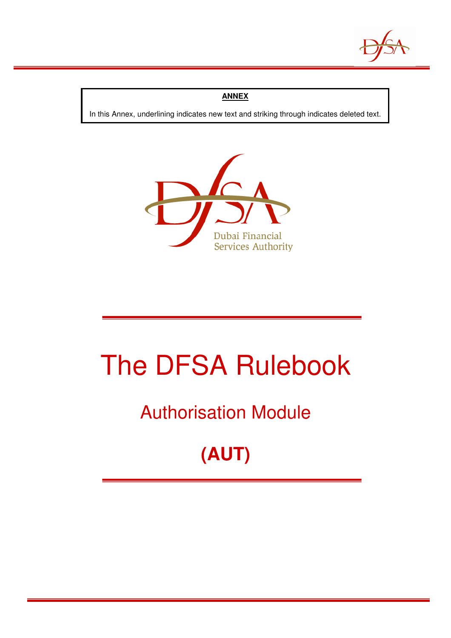

### **ANNEX**

In this Annex, underlining indicates new text and striking through indicates deleted text.



# The DFSA Rulebook

### Authorisation Module

## **(AUT)**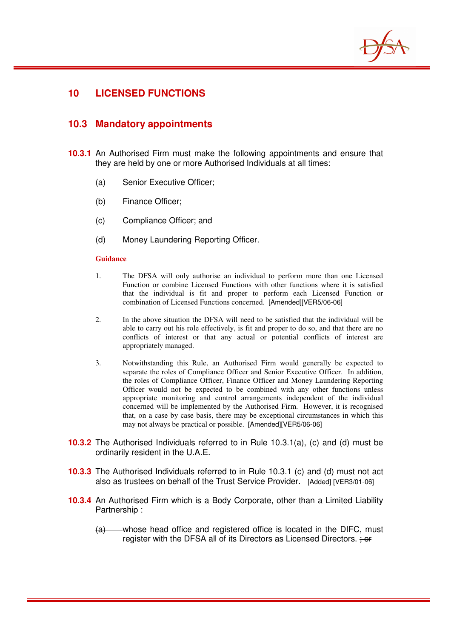

### **10 LICENSED FUNCTIONS**

### **10.3 Mandatory appointments**

- **10.3.1** An Authorised Firm must make the following appointments and ensure that they are held by one or more Authorised Individuals at all times:
	- (a) Senior Executive Officer;
	- (b) Finance Officer;
	- (c) Compliance Officer; and
	- (d) Money Laundering Reporting Officer.

#### **Guidance**

- 1. The DFSA will only authorise an individual to perform more than one Licensed Function or combine Licensed Functions with other functions where it is satisfied that the individual is fit and proper to perform each Licensed Function or combination of Licensed Functions concerned. [Amended][VER5/06-06]
- 2. In the above situation the DFSA will need to be satisfied that the individual will be able to carry out his role effectively, is fit and proper to do so, and that there are no conflicts of interest or that any actual or potential conflicts of interest are appropriately managed.
- 3. Notwithstanding this Rule, an Authorised Firm would generally be expected to separate the roles of Compliance Officer and Senior Executive Officer. In addition, the roles of Compliance Officer, Finance Officer and Money Laundering Reporting Officer would not be expected to be combined with any other functions unless appropriate monitoring and control arrangements independent of the individual concerned will be implemented by the Authorised Firm. However, it is recognised that, on a case by case basis, there may be exceptional circumstances in which this may not always be practical or possible. [Amended][VER5/06-06]
- **10.3.2** The Authorised Individuals referred to in Rule 10.3.1(a), (c) and (d) must be ordinarily resident in the U.A.E.
- **10.3.3** The Authorised Individuals referred to in Rule 10.3.1 (c) and (d) must not act also as trustees on behalf of the Trust Service Provider. [Added] [VER3/01-06]
- **10.3.4** An Authorised Firm which is a Body Corporate, other than a Limited Liability Partnership :
	- (a) whose head office and registered office is located in the DIFC, must register with the DFSA all of its Directors as Licensed Directors.  $\div$  or